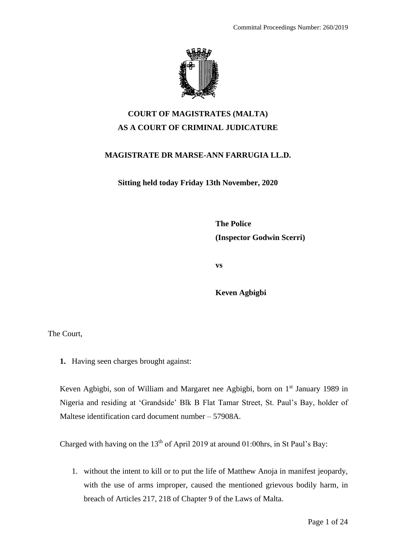

# **COURT OF MAGISTRATES (MALTA) AS A COURT OF CRIMINAL JUDICATURE**

## **MAGISTRATE DR MARSE-ANN FARRUGIA LL.D.**

**Sitting held today Friday 13th November, 2020**

**The Police (Inspector Godwin Scerri)**

**vs**

**Keven Agbigbi**

The Court,

**1.** Having seen charges brought against:

Keven Agbigbi, son of William and Margaret nee Agbigbi, born on 1<sup>st</sup> January 1989 in Nigeria and residing at 'Grandside' Blk B Flat Tamar Street, St. Paul's Bay, holder of Maltese identification card document number – 57908A.

Charged with having on the 13<sup>th</sup> of April 2019 at around 01:00 hrs, in St Paul's Bay:

1. without the intent to kill or to put the life of Matthew Anoja in manifest jeopardy, with the use of arms improper, caused the mentioned grievous bodily harm, in breach of Articles 217, 218 of Chapter 9 of the Laws of Malta.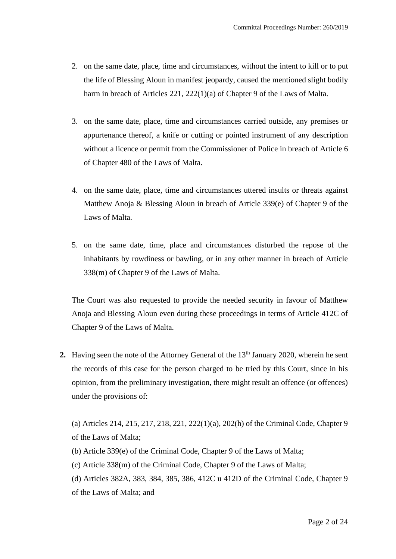- 2. on the same date, place, time and circumstances, without the intent to kill or to put the life of Blessing Aloun in manifest jeopardy, caused the mentioned slight bodily harm in breach of Articles 221, 222(1)(a) of Chapter 9 of the Laws of Malta.
- 3. on the same date, place, time and circumstances carried outside, any premises or appurtenance thereof, a knife or cutting or pointed instrument of any description without a licence or permit from the Commissioner of Police in breach of Article 6 of Chapter 480 of the Laws of Malta.
- 4. on the same date, place, time and circumstances uttered insults or threats against Matthew Anoja & Blessing Aloun in breach of Article 339(e) of Chapter 9 of the Laws of Malta.
- 5. on the same date, time, place and circumstances disturbed the repose of the inhabitants by rowdiness or bawling, or in any other manner in breach of Article 338(m) of Chapter 9 of the Laws of Malta.

The Court was also requested to provide the needed security in favour of Matthew Anoja and Blessing Aloun even during these proceedings in terms of Article 412C of Chapter 9 of the Laws of Malta.

**2.** Having seen the note of the Attorney General of the 13<sup>th</sup> January 2020, wherein he sent the records of this case for the person charged to be tried by this Court, since in his opinion, from the preliminary investigation, there might result an offence (or offences) under the provisions of:

(a) Articles 214, 215, 217, 218, 221, 222(1)(a), 202(h) of the Criminal Code, Chapter 9 of the Laws of Malta;

- (b) Article 339(e) of the Criminal Code, Chapter 9 of the Laws of Malta;
- (c) Article 338(m) of the Criminal Code, Chapter 9 of the Laws of Malta;
- (d) Articles 382A, 383, 384, 385, 386, 412C u 412D of the Criminal Code, Chapter 9 of the Laws of Malta; and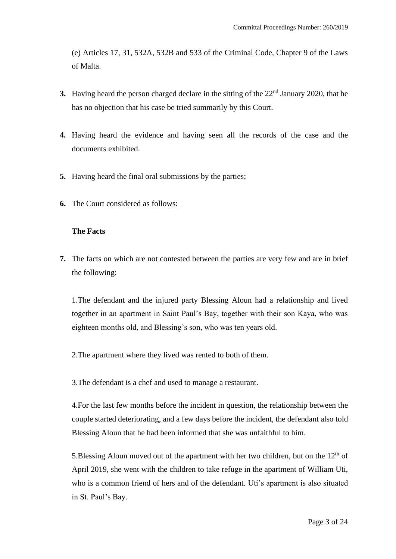(e) Articles 17, 31, 532A, 532B and 533 of the Criminal Code, Chapter 9 of the Laws of Malta.

- **3.** Having heard the person charged declare in the sitting of the 22<sup>nd</sup> January 2020, that he has no objection that his case be tried summarily by this Court.
- **4.** Having heard the evidence and having seen all the records of the case and the documents exhibited.
- **5.** Having heard the final oral submissions by the parties;
- **6.** The Court considered as follows:

## **The Facts**

**7.** The facts on which are not contested between the parties are very few and are in brief the following:

1.The defendant and the injured party Blessing Aloun had a relationship and lived together in an apartment in Saint Paul's Bay, together with their son Kaya, who was eighteen months old, and Blessing's son, who was ten years old.

2.The apartment where they lived was rented to both of them.

3.The defendant is a chef and used to manage a restaurant.

4.For the last few months before the incident in question, the relationship between the couple started deteriorating, and a few days before the incident, the defendant also told Blessing Aloun that he had been informed that she was unfaithful to him.

5.Blessing Aloun moved out of the apartment with her two children, but on the  $12<sup>th</sup>$  of April 2019, she went with the children to take refuge in the apartment of William Uti, who is a common friend of hers and of the defendant. Uti's apartment is also situated in St. Paul's Bay.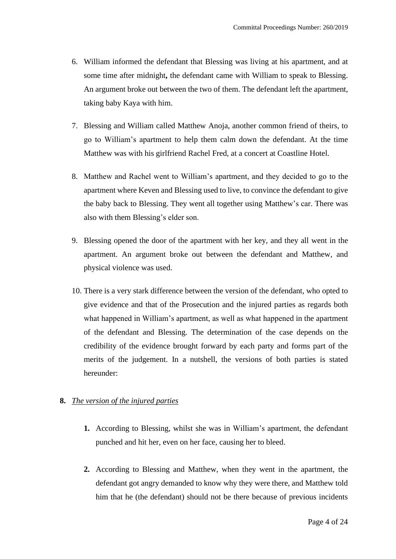- 6. William informed the defendant that Blessing was living at his apartment, and at some time after midnight**,** the defendant came with William to speak to Blessing. An argument broke out between the two of them. The defendant left the apartment, taking baby Kaya with him.
- 7. Blessing and William called Matthew Anoja, another common friend of theirs, to go to William's apartment to help them calm down the defendant. At the time Matthew was with his girlfriend Rachel Fred, at a concert at Coastline Hotel.
- 8. Matthew and Rachel went to William's apartment, and they decided to go to the apartment where Keven and Blessing used to live, to convince the defendant to give the baby back to Blessing. They went all together using Matthew's car. There was also with them Blessing's elder son.
- 9. Blessing opened the door of the apartment with her key, and they all went in the apartment. An argument broke out between the defendant and Matthew, and physical violence was used.
- 10. There is a very stark difference between the version of the defendant, who opted to give evidence and that of the Prosecution and the injured parties as regards both what happened in William's apartment, as well as what happened in the apartment of the defendant and Blessing. The determination of the case depends on the credibility of the evidence brought forward by each party and forms part of the merits of the judgement. In a nutshell, the versions of both parties is stated hereunder:

## **8.** *The version of the injured parties*

- **1.** According to Blessing, whilst she was in William's apartment, the defendant punched and hit her, even on her face, causing her to bleed.
- **2.** According to Blessing and Matthew, when they went in the apartment, the defendant got angry demanded to know why they were there, and Matthew told him that he (the defendant) should not be there because of previous incidents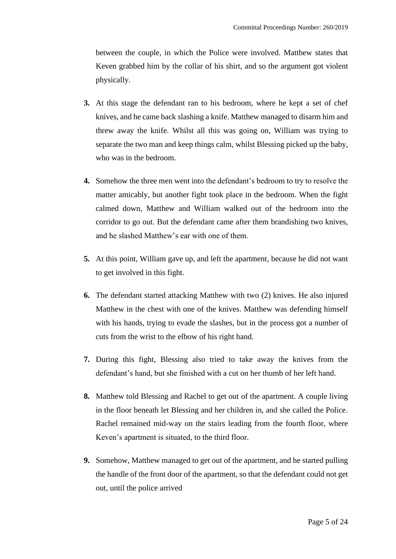between the couple, in which the Police were involved. Matthew states that Keven grabbed him by the collar of his shirt, and so the argument got violent physically.

- **3.** At this stage the defendant ran to his bedroom, where he kept a set of chef knives, and he came back slashing a knife. Matthew managed to disarm him and threw away the knife. Whilst all this was going on, William was trying to separate the two man and keep things calm, whilst Blessing picked up the baby, who was in the bedroom.
- **4.** Somehow the three men went into the defendant's bedroom to try to resolve the matter amicably, but another fight took place in the bedroom. When the fight calmed down, Matthew and William walked out of the bedroom into the corridor to go out. But the defendant came after them brandishing two knives, and he slashed Matthew's ear with one of them.
- **5.** At this point, William gave up, and left the apartment, because he did not want to get involved in this fight.
- **6.** The defendant started attacking Matthew with two (2) knives. He also injured Matthew in the chest with one of the knives. Matthew was defending himself with his hands, trying to evade the slashes, but in the process got a number of cuts from the wrist to the elbow of his right hand.
- **7.** During this fight, Blessing also tried to take away the knives from the defendant's hand, but she finished with a cut on her thumb of her left hand.
- **8.** Matthew told Blessing and Rachel to get out of the apartment. A couple living in the floor beneath let Blessing and her children in, and she called the Police. Rachel remained mid-way on the stairs leading from the fourth floor, where Keven's apartment is situated, to the third floor.
- **9.** Somehow, Matthew managed to get out of the apartment, and he started pulling the handle of the front door of the apartment, so that the defendant could not get out, until the police arrived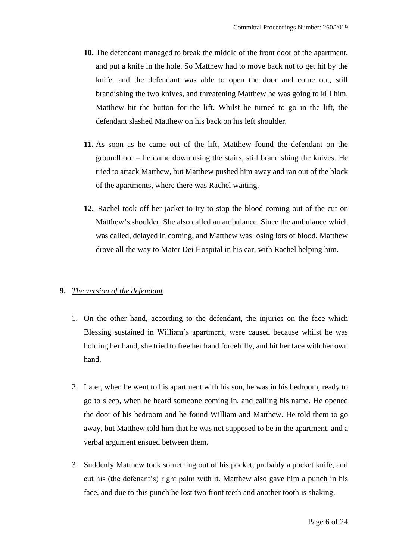- **10.** The defendant managed to break the middle of the front door of the apartment, and put a knife in the hole. So Matthew had to move back not to get hit by the knife, and the defendant was able to open the door and come out, still brandishing the two knives, and threatening Matthew he was going to kill him. Matthew hit the button for the lift. Whilst he turned to go in the lift, the defendant slashed Matthew on his back on his left shoulder.
- **11.** As soon as he came out of the lift, Matthew found the defendant on the groundfloor – he came down using the stairs, still brandishing the knives. He tried to attack Matthew, but Matthew pushed him away and ran out of the block of the apartments, where there was Rachel waiting.
- **12.** Rachel took off her jacket to try to stop the blood coming out of the cut on Matthew's shoulder. She also called an ambulance. Since the ambulance which was called, delayed in coming, and Matthew was losing lots of blood, Matthew drove all the way to Mater Dei Hospital in his car, with Rachel helping him.

## **9.** *The version of the defendant*

- 1. On the other hand, according to the defendant, the injuries on the face which Blessing sustained in William's apartment, were caused because whilst he was holding her hand, she tried to free her hand forcefully, and hit her face with her own hand.
- 2. Later, when he went to his apartment with his son, he was in his bedroom, ready to go to sleep, when he heard someone coming in, and calling his name. He opened the door of his bedroom and he found William and Matthew. He told them to go away, but Matthew told him that he was not supposed to be in the apartment, and a verbal argument ensued between them.
- 3. Suddenly Matthew took something out of his pocket, probably a pocket knife, and cut his (the defenant's) right palm with it. Matthew also gave him a punch in his face, and due to this punch he lost two front teeth and another tooth is shaking.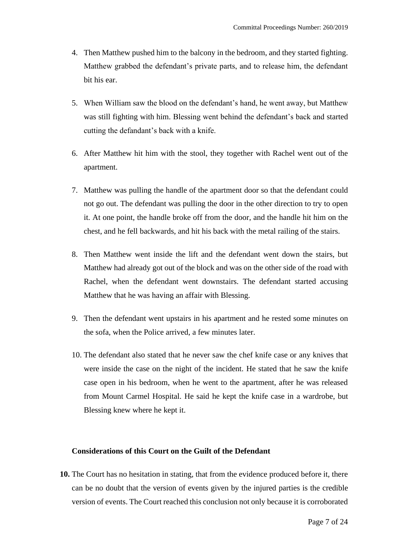- 4. Then Matthew pushed him to the balcony in the bedroom, and they started fighting. Matthew grabbed the defendant's private parts, and to release him, the defendant bit his ear.
- 5. When William saw the blood on the defendant's hand, he went away, but Matthew was still fighting with him. Blessing went behind the defendant's back and started cutting the defandant's back with a knife.
- 6. After Matthew hit him with the stool, they together with Rachel went out of the apartment.
- 7. Matthew was pulling the handle of the apartment door so that the defendant could not go out. The defendant was pulling the door in the other direction to try to open it. At one point, the handle broke off from the door, and the handle hit him on the chest, and he fell backwards, and hit his back with the metal railing of the stairs.
- 8. Then Matthew went inside the lift and the defendant went down the stairs, but Matthew had already got out of the block and was on the other side of the road with Rachel, when the defendant went downstairs. The defendant started accusing Matthew that he was having an affair with Blessing.
- 9. Then the defendant went upstairs in his apartment and he rested some minutes on the sofa, when the Police arrived, a few minutes later.
- 10. The defendant also stated that he never saw the chef knife case or any knives that were inside the case on the night of the incident. He stated that he saw the knife case open in his bedroom, when he went to the apartment, after he was released from Mount Carmel Hospital. He said he kept the knife case in a wardrobe, but Blessing knew where he kept it.

## **Considerations of this Court on the Guilt of the Defendant**

**10.** The Court has no hesitation in stating, that from the evidence produced before it, there can be no doubt that the version of events given by the injured parties is the credible version of events. The Court reached this conclusion not only because it is corroborated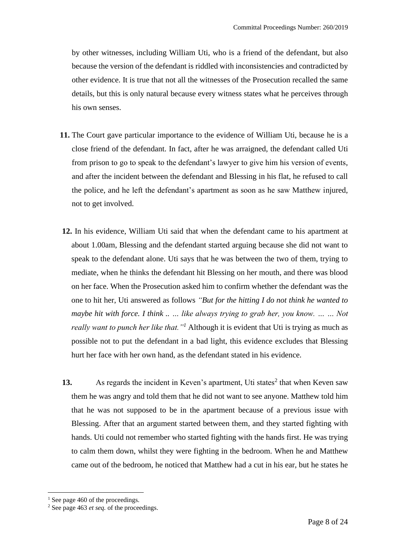by other witnesses, including William Uti, who is a friend of the defendant, but also because the version of the defendant is riddled with inconsistencies and contradicted by other evidence. It is true that not all the witnesses of the Prosecution recalled the same details, but this is only natural because every witness states what he perceives through his own senses.

- **11.** The Court gave particular importance to the evidence of William Uti, because he is a close friend of the defendant. In fact, after he was arraigned, the defendant called Uti from prison to go to speak to the defendant's lawyer to give him his version of events, and after the incident between the defendant and Blessing in his flat, he refused to call the police, and he left the defendant's apartment as soon as he saw Matthew injured, not to get involved.
- **12.** In his evidence, William Uti said that when the defendant came to his apartment at about 1.00am, Blessing and the defendant started arguing because she did not want to speak to the defendant alone. Uti says that he was between the two of them, trying to mediate, when he thinks the defendant hit Blessing on her mouth, and there was blood on her face. When the Prosecution asked him to confirm whether the defendant was the one to hit her, Uti answered as follows *"But for the hitting I do not think he wanted to maybe hit with force. I think .. … like always trying to grab her, you know. … … Not really want to punch her like that."<sup>1</sup>* Although it is evident that Uti is trying as much as possible not to put the defendant in a bad light, this evidence excludes that Blessing hurt her face with her own hand, as the defendant stated in his evidence.
- 13. As regards the incident in Keven's apartment, Uti states<sup>2</sup> that when Keven saw them he was angry and told them that he did not want to see anyone. Matthew told him that he was not supposed to be in the apartment because of a previous issue with Blessing. After that an argument started between them, and they started fighting with hands. Uti could not remember who started fighting with the hands first. He was trying to calm them down, whilst they were fighting in the bedroom. When he and Matthew came out of the bedroom, he noticed that Matthew had a cut in his ear, but he states he

 $<sup>1</sup>$  See page 460 of the proceedings.</sup>

<sup>2</sup> See page 463 *et seq.* of the proceedings.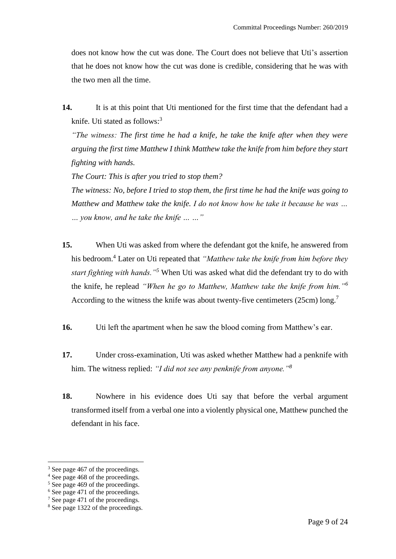does not know how the cut was done. The Court does not believe that Uti's assertion that he does not know how the cut was done is credible, considering that he was with the two men all the time.

**14.** It is at this point that Uti mentioned for the first time that the defendant had a knife. Uti stated as follows: $3$ 

*"The witness: The first time he had a knife, he take the knife after when they were arguing the first time Matthew I think Matthew take the knife from him before they start fighting with hands.*

*The Court: This is after you tried to stop them?*

*The witness: No, before I tried to stop them, the first time he had the knife was going to Matthew and Matthew take the knife. I do not know how he take it because he was … … you know, and he take the knife … …"*

- **15.** When Uti was asked from where the defendant got the knife, he answered from his bedroom.<sup>4</sup> Later on Uti repeated that *"Matthew take the knife from him before they start fighting with hands."<sup>5</sup>* When Uti was asked what did the defendant try to do with the knife, he replead *"When he go to Matthew, Matthew take the knife from him."<sup>6</sup>* According to the witness the knife was about twenty-five centimeters (25cm) long.<sup>7</sup>
- **16.** Uti left the apartment when he saw the blood coming from Matthew's ear.
- **17.** Under cross-examination, Uti was asked whether Matthew had a penknife with him. The witness replied: *"I did not see any penknife from anyone."<sup>8</sup>*
- **18.** Nowhere in his evidence does Uti say that before the verbal argument transformed itself from a verbal one into a violently physical one, Matthew punched the defendant in his face.

<sup>&</sup>lt;sup>3</sup> See page 467 of the proceedings.

<sup>&</sup>lt;sup>4</sup> See page 468 of the proceedings.

 $5$  See page 469 of the proceedings.

 $6$  See page 471 of the proceedings.

<sup>&</sup>lt;sup>7</sup> See page 471 of the proceedings.

<sup>&</sup>lt;sup>8</sup> See page 1322 of the proceedings.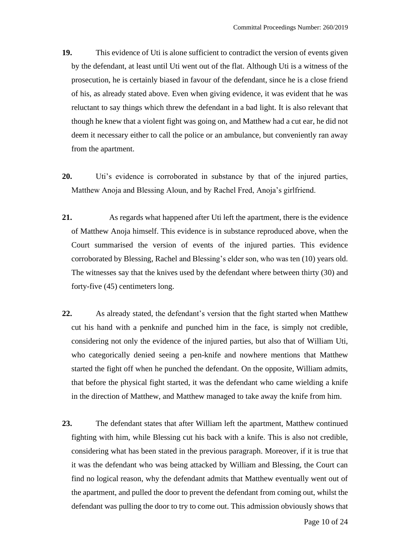- **19.** This evidence of Uti is alone sufficient to contradict the version of events given by the defendant, at least until Uti went out of the flat. Although Uti is a witness of the prosecution, he is certainly biased in favour of the defendant, since he is a close friend of his, as already stated above. Even when giving evidence, it was evident that he was reluctant to say things which threw the defendant in a bad light. It is also relevant that though he knew that a violent fight was going on, and Matthew had a cut ear, he did not deem it necessary either to call the police or an ambulance, but conveniently ran away from the apartment.
- **20.** Uti's evidence is corroborated in substance by that of the injured parties, Matthew Anoja and Blessing Aloun, and by Rachel Fred, Anoja's girlfriend.
- **21.** As regards what happened after Uti left the apartment, there is the evidence of Matthew Anoja himself. This evidence is in substance reproduced above, when the Court summarised the version of events of the injured parties. This evidence corroborated by Blessing, Rachel and Blessing's elder son, who was ten (10) years old. The witnesses say that the knives used by the defendant where between thirty (30) and forty-five (45) centimeters long.
- **22.** As already stated, the defendant's version that the fight started when Matthew cut his hand with a penknife and punched him in the face, is simply not credible, considering not only the evidence of the injured parties, but also that of William Uti, who categorically denied seeing a pen-knife and nowhere mentions that Matthew started the fight off when he punched the defendant. On the opposite, William admits, that before the physical fight started, it was the defendant who came wielding a knife in the direction of Matthew, and Matthew managed to take away the knife from him.
- **23.** The defendant states that after William left the apartment, Matthew continued fighting with him, while Blessing cut his back with a knife. This is also not credible, considering what has been stated in the previous paragraph. Moreover, if it is true that it was the defendant who was being attacked by William and Blessing, the Court can find no logical reason, why the defendant admits that Matthew eventually went out of the apartment, and pulled the door to prevent the defendant from coming out, whilst the defendant was pulling the door to try to come out. This admission obviously shows that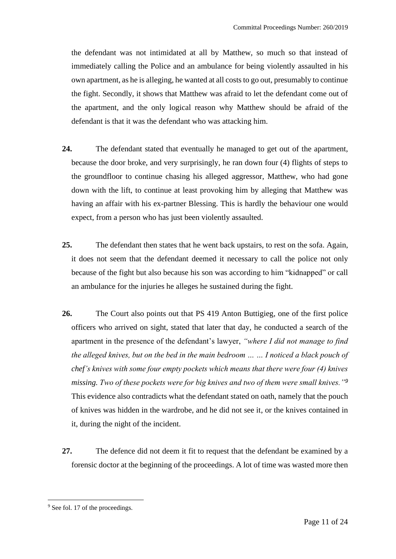the defendant was not intimidated at all by Matthew, so much so that instead of immediately calling the Police and an ambulance for being violently assaulted in his own apartment, as he is alleging, he wanted at all costs to go out, presumably to continue the fight. Secondly, it shows that Matthew was afraid to let the defendant come out of the apartment, and the only logical reason why Matthew should be afraid of the defendant is that it was the defendant who was attacking him.

- **24.** The defendant stated that eventually he managed to get out of the apartment, because the door broke, and very surprisingly, he ran down four (4) flights of steps to the groundfloor to continue chasing his alleged aggressor, Matthew, who had gone down with the lift, to continue at least provoking him by alleging that Matthew was having an affair with his ex-partner Blessing. This is hardly the behaviour one would expect, from a person who has just been violently assaulted.
- **25.** The defendant then states that he went back upstairs, to rest on the sofa. Again, it does not seem that the defendant deemed it necessary to call the police not only because of the fight but also because his son was according to him "kidnapped" or call an ambulance for the injuries he alleges he sustained during the fight.
- **26.** The Court also points out that PS 419 Anton Buttigieg, one of the first police officers who arrived on sight, stated that later that day, he conducted a search of the apartment in the presence of the defendant's lawyer, *"where I did not manage to find the alleged knives, but on the bed in the main bedroom … … I noticed a black pouch of chef's knives with some four empty pockets which means that there were four (4) knives missing. Two of these pockets were for big knives and two of them were small knives."<sup>9</sup>* This evidence also contradicts what the defendant stated on oath, namely that the pouch of knives was hidden in the wardrobe, and he did not see it, or the knives contained in it, during the night of the incident.
- **27.** The defence did not deem it fit to request that the defendant be examined by a forensic doctor at the beginning of the proceedings. A lot of time was wasted more then

<sup>&</sup>lt;sup>9</sup> See fol. 17 of the proceedings.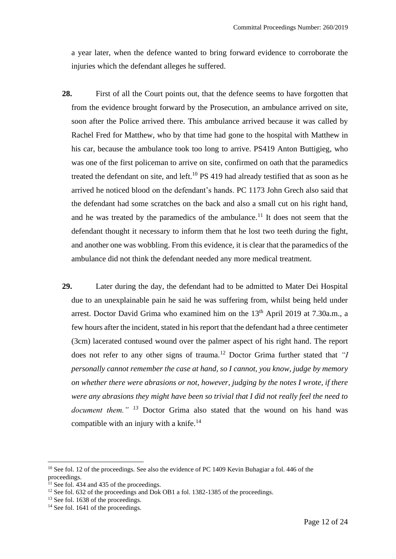a year later, when the defence wanted to bring forward evidence to corroborate the injuries which the defendant alleges he suffered.

- **28.** First of all the Court points out, that the defence seems to have forgotten that from the evidence brought forward by the Prosecution, an ambulance arrived on site, soon after the Police arrived there. This ambulance arrived because it was called by Rachel Fred for Matthew, who by that time had gone to the hospital with Matthew in his car, because the ambulance took too long to arrive. PS419 Anton Buttigieg, who was one of the first policeman to arrive on site, confirmed on oath that the paramedics treated the defendant on site, and left.<sup>10</sup> PS 419 had already testified that as soon as he arrived he noticed blood on the defendant's hands. PC 1173 John Grech also said that the defendant had some scratches on the back and also a small cut on his right hand, and he was treated by the paramedics of the ambulance.<sup>11</sup> It does not seem that the defendant thought it necessary to inform them that he lost two teeth during the fight, and another one was wobbling. From this evidence, it is clear that the paramedics of the ambulance did not think the defendant needed any more medical treatment.
- **29.** Later during the day, the defendant had to be admitted to Mater Dei Hospital due to an unexplainable pain he said he was suffering from, whilst being held under arrest. Doctor David Grima who examined him on the 13<sup>th</sup> April 2019 at 7.30a.m., a few hours after the incident, stated in his report that the defendant had a three centimeter (3cm) lacerated contused wound over the palmer aspect of his right hand. The report does not refer to any other signs of trauma.<sup>12</sup> Doctor Grima further stated that *"I personally cannot remember the case at hand, so I cannot, you know, judge by memory on whether there were abrasions or not, however, judging by the notes I wrote, if there were any abrasions they might have been so trivial that I did not really feel the need to document them." <sup>13</sup>* Doctor Grima also stated that the wound on his hand was compatible with an injury with a knife.<sup>14</sup>

<sup>&</sup>lt;sup>10</sup> See fol. 12 of the proceedings. See also the evidence of PC 1409 Kevin Buhagiar a fol. 446 of the proceedings.

<sup>&</sup>lt;sup>11</sup> See fol. 434 and 435 of the proceedings.

<sup>&</sup>lt;sup>12</sup> See fol. 632 of the proceedings and Dok OB1 a fol. 1382-1385 of the proceedings.

 $13$  See fol. 1638 of the proceedings.

 $14$  See fol. 1641 of the proceedings.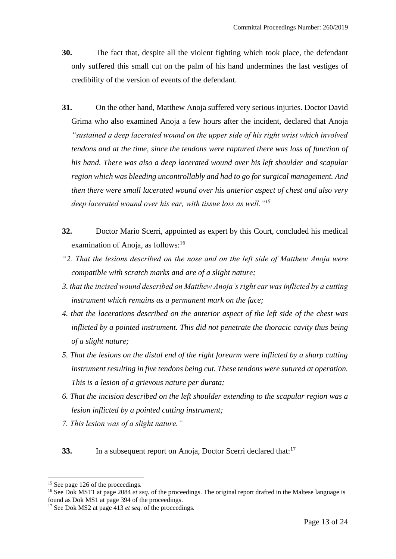- **30.** The fact that, despite all the violent fighting which took place, the defendant only suffered this small cut on the palm of his hand undermines the last vestiges of credibility of the version of events of the defendant.
- **31.** On the other hand, Matthew Anoja suffered very serious injuries. Doctor David Grima who also examined Anoja a few hours after the incident, declared that Anoja *"sustained a deep lacerated wound on the upper side of his right wrist which involved tendons and at the time, since the tendons were raptured there was loss of function of his hand. There was also a deep lacerated wound over his left shoulder and scapular region which was bleeding uncontrollably and had to go for surgical management. And then there were small lacerated wound over his anterior aspect of chest and also very deep lacerated wound over his ear, with tissue loss as well."<sup>15</sup>*
- **32.** Doctor Mario Scerri, appointed as expert by this Court, concluded his medical examination of Anoja, as follows:<sup>16</sup>
- *"2. That the lesions described on the nose and on the left side of Matthew Anoja were compatible with scratch marks and are of a slight nature;*
- *3. that the incised wound described on Matthew Anoja's right ear was inflicted by a cutting instrument which remains as a permanent mark on the face;*
- *4. that the lacerations described on the anterior aspect of the left side of the chest was inflicted by a pointed instrument. This did not penetrate the thoracic cavity thus being of a slight nature;*
- *5. That the lesions on the distal end of the right forearm were inflicted by a sharp cutting instrument resulting in five tendons being cut. These tendons were sutured at operation. This is a lesion of a grievous nature per durata;*
- *6. That the incision described on the left shoulder extending to the scapular region was a lesion inflicted by a pointed cutting instrument;*
- *7. This lesion was of a slight nature."*
- **33.** In a subsequent report on Anoja, Doctor Scerri declared that:<sup>17</sup>

<sup>&</sup>lt;sup>15</sup> See page 126 of the proceedings.

<sup>&</sup>lt;sup>16</sup> See Dok MST1 at page 2084 *et seq.* of the proceedings. The original report drafted in the Maltese language is found as Dok MS1 at page 394 of the proceedings.

<sup>&</sup>lt;sup>17</sup> See Dok MS2 at page 413 *et seq.* of the proceedings.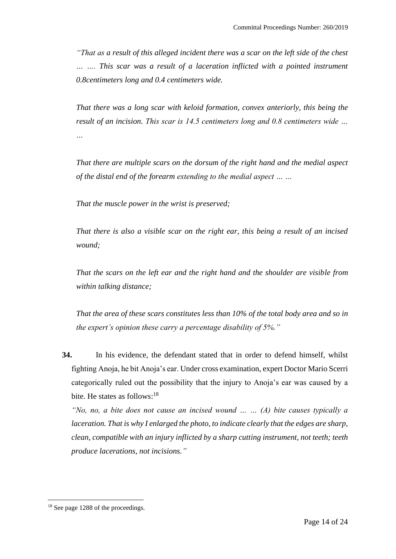*"That as a result of this alleged incident there was a scar on the left side of the chest … …. This scar was a result of a laceration inflicted with a pointed instrument 0.8centimeters long and 0.4 centimeters wide.*

*That there was a long scar with keloid formation, convex anteriorly, this being the result of an incision. This scar is 14.5 centimeters long and 0.8 centimeters wide … …*

*That there are multiple scars on the dorsum of the right hand and the medial aspect of the distal end of the forearm extending to the medial aspect … …*

*That the muscle power in the wrist is preserved;*

*That there is also a visible scar on the right ear, this being a result of an incised wound;*

*That the scars on the left ear and the right hand and the shoulder are visible from within talking distance;*

*That the area of these scars constitutes less than 10% of the total body area and so in the expert's opinion these carry a percentage disability of 5%."*

**34.** In his evidence, the defendant stated that in order to defend himself, whilst fighting Anoja, he bit Anoja's ear. Under cross examination, expert Doctor Mario Scerri categorically ruled out the possibility that the injury to Anoja's ear was caused by a bite. He states as follows: $18$ 

*"No, no, a bite does not cause an incised wound … … (A) bite causes typically a laceration. That is why I enlarged the photo, to indicate clearly that the edges are sharp, clean, compatible with an injury inflicted by a sharp cutting instrument, not teeth; teeth produce lacerations, not incisions."*

<sup>&</sup>lt;sup>18</sup> See page 1288 of the proceedings.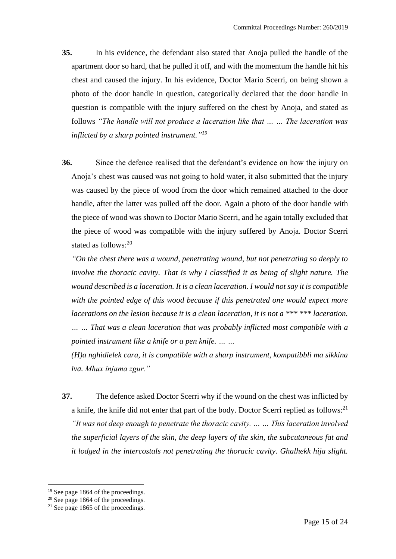- **35.** In his evidence, the defendant also stated that Anoja pulled the handle of the apartment door so hard, that he pulled it off, and with the momentum the handle hit his chest and caused the injury. In his evidence, Doctor Mario Scerri, on being shown a photo of the door handle in question, categorically declared that the door handle in question is compatible with the injury suffered on the chest by Anoja, and stated as follows *"The handle will not produce a laceration like that … … The laceration was inflicted by a sharp pointed instrument." 19*
- **36.** Since the defence realised that the defendant's evidence on how the injury on Anoja's chest was caused was not going to hold water, it also submitted that the injury was caused by the piece of wood from the door which remained attached to the door handle, after the latter was pulled off the door. Again a photo of the door handle with the piece of wood was shown to Doctor Mario Scerri, and he again totally excluded that the piece of wood was compatible with the injury suffered by Anoja. Doctor Scerri stated as follows:<sup>20</sup>

*"On the chest there was a wound, penetrating wound, but not penetrating so deeply to involve the thoracic cavity. That is why I classified it as being of slight nature. The wound described is a laceration. It is a clean laceration. I would not say it is compatible with the pointed edge of this wood because if this penetrated one would expect more lacerations on the lesion because it is a clean laceration, it is not a \*\*\* \*\*\* laceration. … … That was a clean laceration that was probably inflicted most compatible with a pointed instrument like a knife or a pen knife. … …*

*(H)a nghidielek cara, it is compatible with a sharp instrument, kompatibbli ma sikkina iva. Mhux injama zgur."*

**37.** The defence asked Doctor Scerri why if the wound on the chest was inflicted by a knife, the knife did not enter that part of the body. Doctor Scerri replied as follows:<sup>21</sup> *"It was not deep enough to penetrate the thoracic cavity. … … This laceration involved the superficial layers of the skin, the deep layers of the skin, the subcutaneous fat and it lodged in the intercostals not penetrating the thoracic cavity. Ghalhekk hija slight.*

<sup>&</sup>lt;sup>19</sup> See page 1864 of the proceedings.

 $20$  See page 1864 of the proceedings.

 $21$  See page 1865 of the proceedings.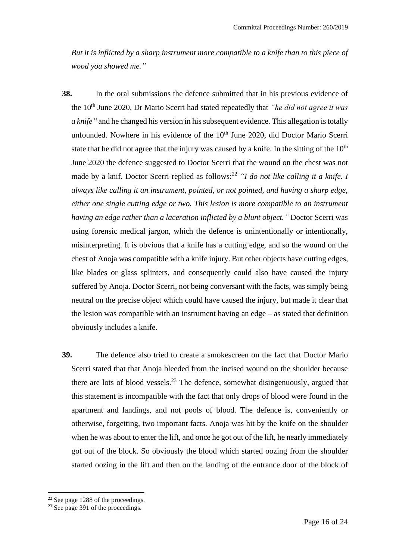*But it is inflicted by a sharp instrument more compatible to a knife than to this piece of wood you showed me."*

- **38.** In the oral submissions the defence submitted that in his previous evidence of the 10<sup>th</sup> June 2020, Dr Mario Scerri had stated repeatedly that *"he did not agree it was a knife"* and he changed his version in his subsequent evidence. This allegation is totally unfounded. Nowhere in his evidence of the  $10<sup>th</sup>$  June 2020, did Doctor Mario Scerri state that he did not agree that the injury was caused by a knife. In the sitting of the  $10<sup>th</sup>$ June 2020 the defence suggested to Doctor Scerri that the wound on the chest was not made by a knif. Doctor Scerri replied as follows:<sup>22</sup> "I do not like calling it a knife. I *always like calling it an instrument, pointed, or not pointed, and having a sharp edge, either one single cutting edge or two. This lesion is more compatible to an instrument having an edge rather than a laceration inflicted by a blunt object."* Doctor Scerri was using forensic medical jargon, which the defence is unintentionally or intentionally, misinterpreting. It is obvious that a knife has a cutting edge, and so the wound on the chest of Anoja was compatible with a knife injury. But other objects have cutting edges, like blades or glass splinters, and consequently could also have caused the injury suffered by Anoja. Doctor Scerri, not being conversant with the facts, was simply being neutral on the precise object which could have caused the injury, but made it clear that the lesion was compatible with an instrument having an edge – as stated that definition obviously includes a knife.
- **39.** The defence also tried to create a smokescreen on the fact that Doctor Mario Scerri stated that that Anoja bleeded from the incised wound on the shoulder because there are lots of blood vessels.<sup>23</sup> The defence, somewhat disingenuously, argued that this statement is incompatible with the fact that only drops of blood were found in the apartment and landings, and not pools of blood. The defence is, conveniently or otherwise, forgetting, two important facts. Anoja was hit by the knife on the shoulder when he was about to enter the lift, and once he got out of the lift, he nearly immediately got out of the block. So obviously the blood which started oozing from the shoulder started oozing in the lift and then on the landing of the entrance door of the block of

 $22$  See page 1288 of the proceedings.

 $23$  See page 391 of the proceedings.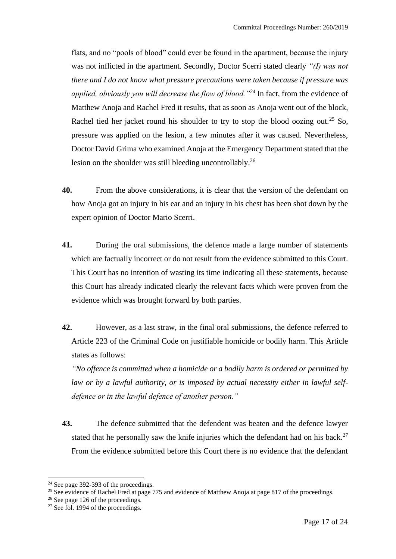flats, and no "pools of blood" could ever be found in the apartment, because the injury was not inflicted in the apartment. Secondly, Doctor Scerri stated clearly *"(I) was not there and I do not know what pressure precautions were taken because if pressure was applied, obviously you will decrease the flow of blood."<sup>24</sup>* In fact, from the evidence of Matthew Anoja and Rachel Fred it results, that as soon as Anoja went out of the block, Rachel tied her jacket round his shoulder to try to stop the blood oozing out.<sup>25</sup> So, pressure was applied on the lesion, a few minutes after it was caused. Nevertheless, Doctor David Grima who examined Anoja at the Emergency Department stated that the lesion on the shoulder was still bleeding uncontrollably.<sup>26</sup>

- **40.** From the above considerations, it is clear that the version of the defendant on how Anoja got an injury in his ear and an injury in his chest has been shot down by the expert opinion of Doctor Mario Scerri.
- **41.** During the oral submissions, the defence made a large number of statements which are factually incorrect or do not result from the evidence submitted to this Court. This Court has no intention of wasting its time indicating all these statements, because this Court has already indicated clearly the relevant facts which were proven from the evidence which was brought forward by both parties.
- **42.** However, as a last straw, in the final oral submissions, the defence referred to Article 223 of the Criminal Code on justifiable homicide or bodily harm. This Article states as follows:

*"No offence is committed when a homicide or a bodily harm is ordered or permitted by law or by a lawful authority, or is imposed by actual necessity either in lawful selfdefence or in the lawful defence of another person."*

**43.** The defence submitted that the defendent was beaten and the defence lawyer stated that he personally saw the knife injuries which the defendant had on his back.<sup>27</sup> From the evidence submitted before this Court there is no evidence that the defendant

<sup>&</sup>lt;sup>24</sup> See page 392-393 of the proceedings.

<sup>&</sup>lt;sup>25</sup> See evidence of Rachel Fred at page 775 and evidence of Matthew Anoja at page 817 of the proceedings.

 $26$  See page 126 of the proceedings.

 $27$  See fol. 1994 of the proceedings.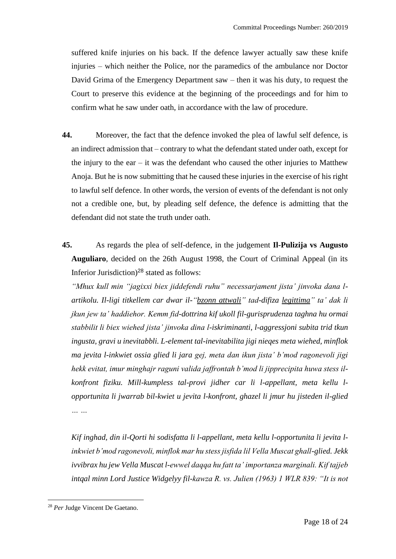suffered knife injuries on his back. If the defence lawyer actually saw these knife injuries – which neither the Police, nor the paramedics of the ambulance nor Doctor David Grima of the Emergency Department saw – then it was his duty, to request the Court to preserve this evidence at the beginning of the proceedings and for him to confirm what he saw under oath, in accordance with the law of procedure.

- **44.** Moreover, the fact that the defence invoked the plea of lawful self defence, is an indirect admission that – contrary to what the defendant stated under oath, except for the injury to the ear – it was the defendant who caused the other injuries to Matthew Anoja. But he is now submitting that he caused these injuries in the exercise of his right to lawful self defence. In other words, the version of events of the defendant is not only not a credible one, but, by pleading self defence, the defence is admitting that the defendant did not state the truth under oath.
- **45.** As regards the plea of self-defence, in the judgement **Il-Pulizija vs Augusto Auguliaro**, decided on the 26th August 1998, the Court of Criminal Appeal (in its Inferior Jurisdiction)<sup>28</sup> stated as follows:

*"Mhux kull min "jagixxi biex jiddefendi ruhu" necessarjament jista' jinvoka dana lartikolu. Il-ligi titkellem car dwar il-"bzonn attwali" tad-difiza legittima" ta' dak li jkun jew ta' haddiehor. Kemm fid-dottrina kif ukoll fil-gurisprudenza taghna hu ormai stabbilit li biex wiehed jista' jinvoka dina l-iskriminanti, l-aggressjoni subita trid tkun ingusta, gravi u inevitabbli. L-element tal-inevitabilita jigi nieqes meta wiehed, minflok ma jevita l-inkwiet ossia glied li jara gej, meta dan ikun jista' b'mod ragonevoli jigi hekk evitat, imur minghajr raguni valida jaffrontah b'mod li jipprecipita huwa stess ilkonfront fiziku. Mill-kumpless tal-provi jidher car li l-appellant, meta kellu lopportunita li jwarrab bil-kwiet u jevita l-konfront, ghazel li jmur hu jisteden il-glied … …*

*Kif inghad, din il-Qorti hi sodisfatta li l-appellant, meta kellu l-opportunita li jevita linkwiet b'mod ragonevoli, minflok mar hu stess jisfida lil Vella Muscat ghall-glied. Jekk ivvibrax hu jew Vella Muscat l-ewwel daqqa hu fatt ta' importanza marginali. Kif tajjeb intqal minn Lord Justice Widgelyy fil-kawza R. vs. Julien (1963) 1 WLR 839: "It is not* 

<sup>28</sup> *Per* Judge Vincent De Gaetano.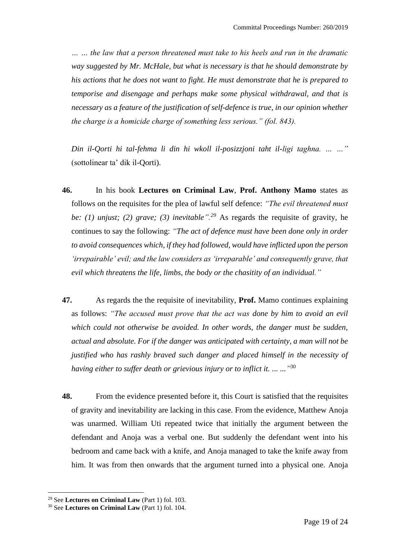*… … the law that a person threatened must take to his heels and run in the dramatic way suggested by Mr. McHale, but what is necessary is that he should demonstrate by his actions that he does not want to fight. He must demonstrate that he is prepared to temporise and disengage and perhaps make some physical withdrawal, and that is necessary as a feature of the justification of self-defence is true, in our opinion whether the charge is a homicide charge of something less serious." (fol. 843).*

*Din il-Qorti hi tal-fehma li din hi wkoll il-posizzjoni taht il-ligi taghna. … …"* (sottolinear ta' dik il-Qorti).

- **46.** In his book **Lectures on Criminal Law**, **Prof. Anthony Mamo** states as follows on the requisites for the plea of lawful self defence: *"The evil threatened must be: (1) unjust; (2) grave; (3) inevitable".<sup>29</sup>* As regards the requisite of gravity, he continues to say the following: *"The act of defence must have been done only in order to avoid consequences which, if they had followed, would have inflicted upon the person 'irrepairable' evil; and the law considers as 'irreparable' and consequently grave, that evil which threatens the life, limbs, the body or the chasitity of an individual."*
- **47.** As regards the the requisite of inevitability, **Prof.** Mamo continues explaining as follows: *"The accused must prove that the act was done by him to avoid an evil which could not otherwise be avoided. In other words, the danger must be sudden, actual and absolute. For if the danger was anticipated with certainty, a man will not be justified who has rashly braved such danger and placed himself in the necessity of having either to suffer death or grievious injury or to inflict it. ... ..."* 30
- **48.** From the evidence presented before it, this Court is satisfied that the requisites of gravity and inevitability are lacking in this case. From the evidence, Matthew Anoja was unarmed. William Uti repeated twice that initially the argument between the defendant and Anoja was a verbal one. But suddenly the defendant went into his bedroom and came back with a knife, and Anoja managed to take the knife away from him. It was from then onwards that the argument turned into a physical one. Anoja

<sup>29</sup> See **Lectures on Criminal Law** (Part 1) fol. 103.

<sup>30</sup> See **Lectures on Criminal Law** (Part 1) fol. 104.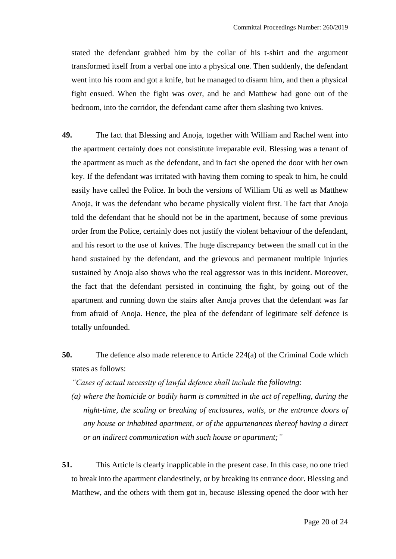stated the defendant grabbed him by the collar of his t-shirt and the argument transformed itself from a verbal one into a physical one. Then suddenly, the defendant went into his room and got a knife, but he managed to disarm him, and then a physical fight ensued. When the fight was over, and he and Matthew had gone out of the bedroom, into the corridor, the defendant came after them slashing two knives.

- **49.** The fact that Blessing and Anoja, together with William and Rachel went into the apartment certainly does not consistitute irreparable evil. Blessing was a tenant of the apartment as much as the defendant, and in fact she opened the door with her own key. If the defendant was irritated with having them coming to speak to him, he could easily have called the Police. In both the versions of William Uti as well as Matthew Anoja, it was the defendant who became physically violent first. The fact that Anoja told the defendant that he should not be in the apartment, because of some previous order from the Police, certainly does not justify the violent behaviour of the defendant, and his resort to the use of knives. The huge discrepancy between the small cut in the hand sustained by the defendant, and the grievous and permanent multiple injuries sustained by Anoja also shows who the real aggressor was in this incident. Moreover, the fact that the defendant persisted in continuing the fight, by going out of the apartment and running down the stairs after Anoja proves that the defendant was far from afraid of Anoja. Hence, the plea of the defendant of legitimate self defence is totally unfounded.
- **50.** The defence also made reference to Article 224(a) of the Criminal Code which states as follows:

*"Cases of actual necessity of lawful defence shall include the following:*

*(a) where the homicide or bodily harm is committed in the act of repelling, during the night-time, the scaling or breaking of enclosures, walls, or the entrance doors of any house or inhabited apartment, or of the appurtenances thereof having a direct or an indirect communication with such house or apartment;"*

**51.** This Article is clearly inapplicable in the present case. In this case, no one tried to break into the apartment clandestinely, or by breaking its entrance door. Blessing and Matthew, and the others with them got in, because Blessing opened the door with her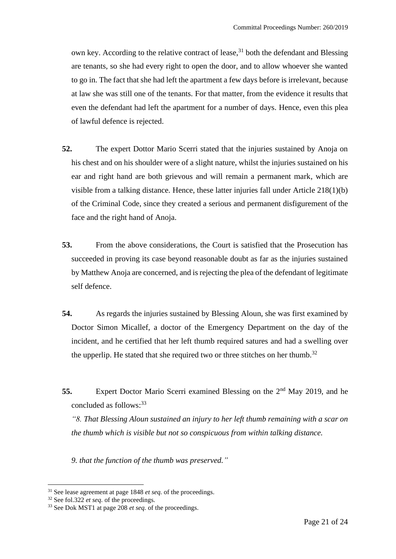own key. According to the relative contract of lease,  $31$  both the defendant and Blessing are tenants, so she had every right to open the door, and to allow whoever she wanted to go in. The fact that she had left the apartment a few days before is irrelevant, because at law she was still one of the tenants. For that matter, from the evidence it results that even the defendant had left the apartment for a number of days. Hence, even this plea of lawful defence is rejected.

- **52.** The expert Dottor Mario Scerri stated that the injuries sustained by Anoja on his chest and on his shoulder were of a slight nature, whilst the injuries sustained on his ear and right hand are both grievous and will remain a permanent mark, which are visible from a talking distance. Hence, these latter injuries fall under Article 218(1)(b) of the Criminal Code, since they created a serious and permanent disfigurement of the face and the right hand of Anoja.
- **53.** From the above considerations, the Court is satisfied that the Prosecution has succeeded in proving its case beyond reasonable doubt as far as the injuries sustained by Matthew Anoja are concerned, and is rejecting the plea of the defendant of legitimate self defence.
- **54.** As regards the injuries sustained by Blessing Aloun, she was first examined by Doctor Simon Micallef, a doctor of the Emergency Department on the day of the incident, and he certified that her left thumb required satures and had a swelling over the upperlip. He stated that she required two or three stitches on her thumb.<sup>32</sup>
- **55.** Expert Doctor Mario Scerri examined Blessing on the 2nd May 2019, and he concluded as follows:<sup>33</sup>

*"8. That Blessing Aloun sustained an injury to her left thumb remaining with a scar on the thumb which is visible but not so conspicuous from within talking distance.*

*9. that the function of the thumb was preserved."*

<sup>31</sup> See lease agreement at page 1848 *et seq.* of the proceedings.

<sup>32</sup> See fol.322 *et seq.* of the proceedings.

<sup>33</sup> See Dok MST1 at page 208 *et seq.* of the proceedings.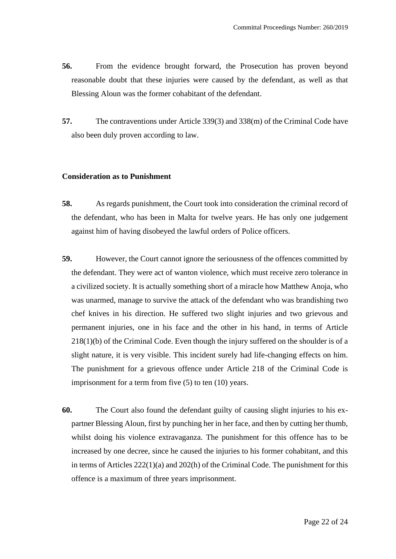- **56.** From the evidence brought forward, the Prosecution has proven beyond reasonable doubt that these injuries were caused by the defendant, as well as that Blessing Aloun was the former cohabitant of the defendant.
- **57.** The contraventions under Article 339(3) and 338(m) of the Criminal Code have also been duly proven according to law.

#### **Consideration as to Punishment**

- **58.** As regards punishment, the Court took into consideration the criminal record of the defendant, who has been in Malta for twelve years. He has only one judgement against him of having disobeyed the lawful orders of Police officers.
- **59.** However, the Court cannot ignore the seriousness of the offences committed by the defendant. They were act of wanton violence, which must receive zero tolerance in a civilized society. It is actually something short of a miracle how Matthew Anoja, who was unarmed, manage to survive the attack of the defendant who was brandishing two chef knives in his direction. He suffered two slight injuries and two grievous and permanent injuries, one in his face and the other in his hand, in terms of Article 218(1)(b) of the Criminal Code. Even though the injury suffered on the shoulder is of a slight nature, it is very visible. This incident surely had life-changing effects on him. The punishment for a grievous offence under Article 218 of the Criminal Code is imprisonment for a term from five (5) to ten (10) years.
- **60.** The Court also found the defendant guilty of causing slight injuries to his expartner Blessing Aloun, first by punching her in her face, and then by cutting her thumb, whilst doing his violence extravaganza. The punishment for this offence has to be increased by one decree, since he caused the injuries to his former cohabitant, and this in terms of Articles 222(1)(a) and 202(h) of the Criminal Code. The punishment for this offence is a maximum of three years imprisonment.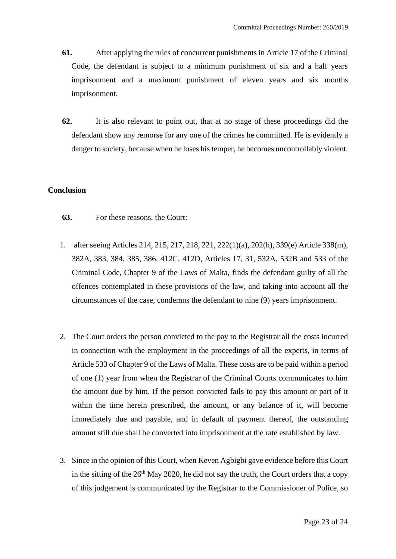- **61.** After applying the rules of concurrent punishments in Article 17 of the Criminal Code, the defendant is subject to a minimum punishment of six and a half years imprisonment and a maximum punishment of eleven years and six months imprisonment.
- **62.** It is also relevant to point out, that at no stage of these proceedings did the defendant show any remorse for any one of the crimes he committed. He is evidently a danger to society, because when he loses his temper, he becomes uncontrollably violent.

## **Conclusion**

- **63.** For these reasons, the Court:
- 1. after seeing Articles 214, 215, 217, 218, 221, 222(1)(a), 202(h), 339(e) Article 338(m), 382A, 383, 384, 385, 386, 412C, 412D, Articles 17, 31, 532A, 532B and 533 of the Criminal Code, Chapter 9 of the Laws of Malta, finds the defendant guilty of all the offences contemplated in these provisions of the law, and taking into account all the circumstances of the case, condemns the defendant to nine (9) years imprisonment.
- 2. The Court orders the person convicted to the pay to the Registrar all the costs incurred in connection with the employment in the proceedings of all the experts, in terms of Article 533 of Chapter 9 of the Laws of Malta. These costs are to be paid within a period of one (1) year from when the Registrar of the Criminal Courts communicates to him the amount due by him. If the person convicted fails to pay this amount or part of it within the time herein prescribed, the amount, or any balance of it, will become immediately due and payable, and in default of payment thereof, the outstanding amount still due shall be converted into imprisonment at the rate established by law.
- 3. Since in the opinion of this Court, when Keven Agbigbi gave evidence before this Court in the sitting of the  $26<sup>th</sup>$  May 2020, he did not say the truth, the Court orders that a copy of this judgement is communicated by the Registrar to the Commissioner of Police, so